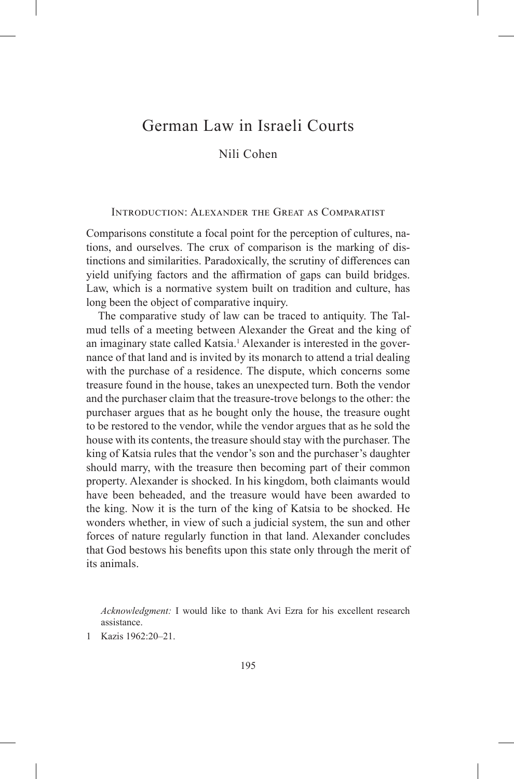# German Law in Israeli Courts

Nili Cohen

# Introduction: Alexander the Great as Comparatist

Comparisons constitute a focal point for the perception of cultures, nations, and ourselves. The crux of comparison is the marking of distinctions and similarities. Paradoxically, the scrutiny of differences can yield unifying factors and the affirmation of gaps can build bridges. Law, which is a normative system built on tradition and culture, has long been the object of comparative inquiry.

The comparative study of law can be traced to antiquity. The Talmud tells of a meeting between Alexander the Great and the king of an imaginary state called Katsia.<sup>1</sup> Alexander is interested in the governance of that land and is invited by its monarch to attend a trial dealing with the purchase of a residence. The dispute, which concerns some treasure found in the house, takes an unexpected turn. Both the vendor and the purchaser claim that the treasure-trove belongs to the other: the purchaser argues that as he bought only the house, the treasure ought to be restored to the vendor, while the vendor argues that as he sold the house with its contents, the treasure should stay with the purchaser. The king of Katsia rules that the vendor's son and the purchaser's daughter should marry, with the treasure then becoming part of their common property. Alexander is shocked. In his kingdom, both claimants would have been beheaded, and the treasure would have been awarded to the king. Now it is the turn of the king of Katsia to be shocked. He wonders whether, in view of such a judicial system, the sun and other forces of nature regularly function in that land. Alexander concludes that God bestows his benefits upon this state only through the merit of its animals.

*Acknowledgment:* I would like to thank Avi Ezra for his excellent research assistance.

1 Kazis 1962:20–21.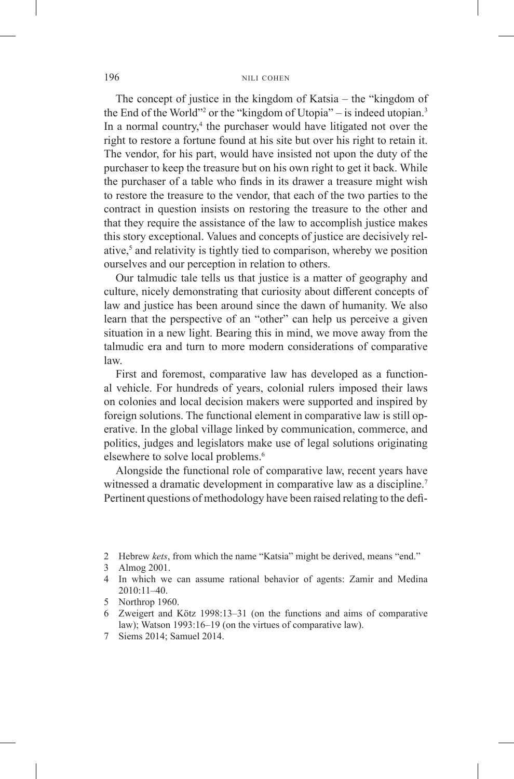The concept of justice in the kingdom of Katsia – the "kingdom of the End of the World"<sup>2</sup> or the "kingdom of Utopia" – is indeed utopian.<sup>3</sup> In a normal country,<sup>4</sup> the purchaser would have litigated not over the right to restore a fortune found at his site but over his right to retain it. The vendor, for his part, would have insisted not upon the duty of the purchaser to keep the treasure but on his own right to get it back. While the purchaser of a table who finds in its drawer a treasure might wish to restore the treasure to the vendor, that each of the two parties to the contract in question insists on restoring the treasure to the other and that they require the assistance of the law to accomplish justice makes this story exceptional. Values and concepts of justice are decisively relative,5 and relativity is tightly tied to comparison, whereby we position ourselves and our perception in relation to others.

Our talmudic tale tells us that justice is a matter of geography and culture, nicely demonstrating that curiosity about different concepts of law and justice has been around since the dawn of humanity. We also learn that the perspective of an "other" can help us perceive a given situation in a new light. Bearing this in mind, we move away from the talmudic era and turn to more modern considerations of comparative law.

First and foremost, comparative law has developed as a functional vehicle. For hundreds of years, colonial rulers imposed their laws on colonies and local decision makers were supported and inspired by foreign solutions. The functional element in comparative law is still operative. In the global village linked by communication, commerce, and politics, judges and legislators make use of legal solutions originating elsewhere to solve local problems.<sup>6</sup>

Alongside the functional role of comparative law, recent years have witnessed a dramatic development in comparative law as a discipline.<sup>7</sup> Pertinent questions of methodology have been raised relating to the defi-

- 2 Hebrew *kets*, from which the name "Katsia" might be derived, means "end."
- 3 Almog 2001.
- 4 In which we can assume rational behavior of agents: Zamir and Medina 2010:11–40.
- 5 Northrop 1960.
- 6 Zweigert and Kötz 1998:13–31 (on the functions and aims of comparative law); Watson 1993:16–19 (on the virtues of comparative law).
- 7 Siems 2014; Samuel 2014.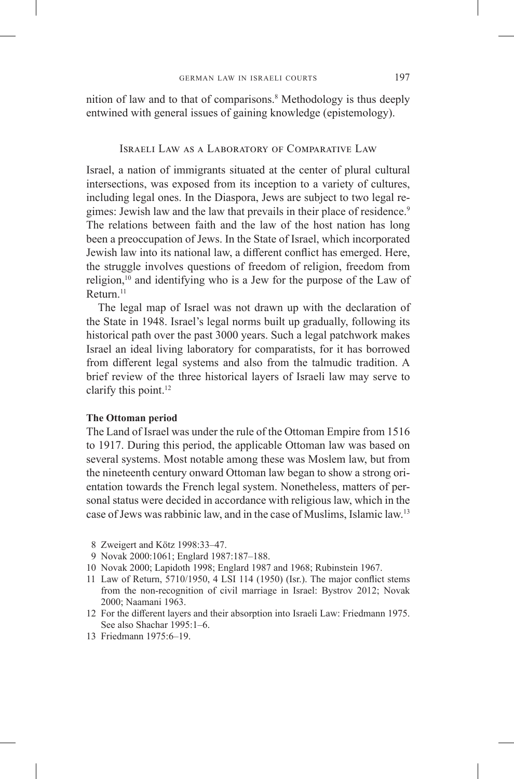nition of law and to that of comparisons.<sup>8</sup> Methodology is thus deeply entwined with general issues of gaining knowledge (epistemology).

# Israeli Law as a Laboratory of Comparative Law

Israel, a nation of immigrants situated at the center of plural cultural intersections, was exposed from its inception to a variety of cultures, including legal ones. In the Diaspora, Jews are subject to two legal regimes: Jewish law and the law that prevails in their place of residence.<sup>9</sup> The relations between faith and the law of the host nation has long been a preoccupation of Jews. In the State of Israel, which incorporated Jewish law into its national law, a different conflict has emerged. Here, the struggle involves questions of freedom of religion, freedom from religion, $10$  and identifying who is a Jew for the purpose of the Law of Return.11

The legal map of Israel was not drawn up with the declaration of the State in 1948. Israel's legal norms built up gradually, following its historical path over the past 3000 years. Such a legal patchwork makes Israel an ideal living laboratory for comparatists, for it has borrowed from different legal systems and also from the talmudic tradition. A brief review of the three historical layers of Israeli law may serve to clarify this point.<sup>12</sup>

### **The Ottoman period**

The Land of Israel was under the rule of the Ottoman Empire from 1516 to 1917. During this period, the applicable Ottoman law was based on several systems. Most notable among these was Moslem law, but from the nineteenth century onward Ottoman law began to show a strong orientation towards the French legal system. Nonetheless, matters of personal status were decided in accordance with religious law, which in the case of Jews was rabbinic law, and in the case of Muslims, Islamic law.<sup>13</sup>

- 9 Novak 2000:1061; Englard 1987:187–188.
- 10 Novak 2000; Lapidoth 1998; Englard 1987 and 1968; Rubinstein 1967.
- 11 Law of Return, 5710/1950, 4 LSI 114 (1950) (Isr.). The major conflict stems from the non-recognition of civil marriage in Israel: Bystrov 2012; Novak 2000; Naamani 1963.
- 12 For the different layers and their absorption into Israeli Law: Friedmann 1975. See also Shachar 1995:1–6.
- 13 Friedmann 1975:6–19.

<sup>8</sup> Zweigert and Kötz 1998:33–47.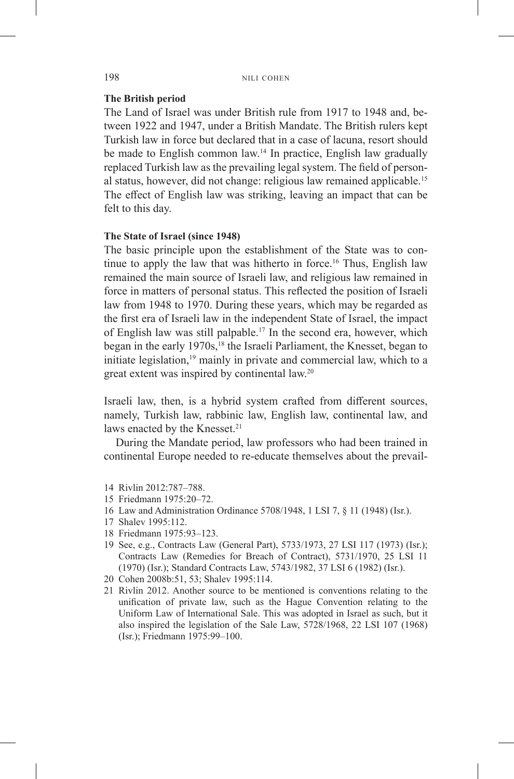# **The British period**

The Land of Israel was under British rule from 1917 to 1948 and, between 1922 and 1947, under a British Mandate. The British rulers kept Turkish law in force but declared that in a case of lacuna, resort should be made to English common law.<sup>14</sup> In practice, English law gradually replaced Turkish law as the prevailing legal system. The field of personal status, however, did not change: religious law remained applicable.<sup>15</sup> The effect of English law was striking, leaving an impact that can be felt to this day.

## **The State of Israel (since 1948)**

The basic principle upon the establishment of the State was to continue to apply the law that was hitherto in force.<sup>16</sup> Thus, English law remained the main source of Israeli law, and religious law remained in force in matters of personal status. This reflected the position of Israeli law from 1948 to 1970. During these years, which may be regarded as the first era of Israeli law in the independent State of Israel, the impact of English law was still palpable.<sup>17</sup> In the second era, however, which began in the early 1970s,<sup>18</sup> the Israeli Parliament, the Knesset, began to initiate legislation,<sup>19</sup> mainly in private and commercial law, which to a great extent was inspired by continental law.20

Israeli law, then, is a hybrid system crafted from different sources, namely, Turkish law, rabbinic law, English law, continental law, and laws enacted by the Knesset.<sup>21</sup>

During the Mandate period, law professors who had been trained in continental Europe needed to re-educate themselves about the prevail-

- 15 Friedmann 1975:20–72.
- 16 Law and Administration Ordinance 5708/1948, 1 LSI 7, § 11 (1948) (Isr.).
- 17 Shalev 1995:112.
- 18 Friedmann 1975:93–123.
- 19 See, e.g., Contracts Law (General Part), 5733/1973, 27 LSI 117 (1973) (Isr.); Contracts Law (Remedies for Breach of Contract), 5731/1970, 25 LSI 11 (1970) (Isr.); Standard Contracts Law, 5743/1982, 37 LSI 6 (1982) (Isr.).
- 20 Cohen 2008b:51, 53; Shalev 1995:114.
- 21 Rivlin 2012. Another source to be mentioned is conventions relating to the unification of private law, such as the Hague Convention relating to the Uniform Law of International Sale. This was adopted in Israel as such, but it also inspired the legislation of the Sale Law, 5728/1968, 22 LSI 107 (1968) (Isr.); Friedmann 1975:99–100.

<sup>14</sup> Rivlin 2012:787–788.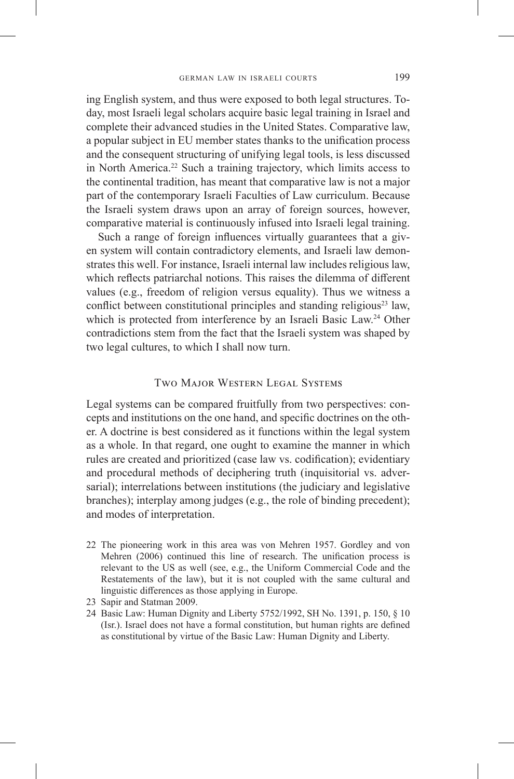ing English system, and thus were exposed to both legal structures. Today, most Israeli legal scholars acquire basic legal training in Israel and complete their advanced studies in the United States. Comparative law, a popular subject in EU member states thanks to the unification process and the consequent structuring of unifying legal tools, is less discussed in North America.<sup>22</sup> Such a training trajectory, which limits access to the continental tradition, has meant that comparative law is not a major part of the contemporary Israeli Faculties of Law curriculum. Because the Israeli system draws upon an array of foreign sources, however, comparative material is continuously infused into Israeli legal training.

Such a range of foreign influences virtually guarantees that a given system will contain contradictory elements, and Israeli law demonstrates this well. For instance, Israeli internal law includes religious law, which reflects patriarchal notions. This raises the dilemma of different values (e.g., freedom of religion versus equality). Thus we witness a conflict between constitutional principles and standing religious<sup>23</sup> law, which is protected from interference by an Israeli Basic Law.<sup>24</sup> Other contradictions stem from the fact that the Israeli system was shaped by two legal cultures, to which I shall now turn.

# Two Major Western Legal Systems

Legal systems can be compared fruitfully from two perspectives: concepts and institutions on the one hand, and specific doctrines on the other. A doctrine is best considered as it functions within the legal system as a whole. In that regard, one ought to examine the manner in which rules are created and prioritized (case law vs. codification); evidentiary and procedural methods of deciphering truth (inquisitorial vs. adversarial); interrelations between institutions (the judiciary and legislative branches); interplay among judges (e.g., the role of binding precedent); and modes of interpretation.

- 22 The pioneering work in this area was von Mehren 1957. Gordley and von Mehren (2006) continued this line of research. The unification process is relevant to the US as well (see, e.g., the Uniform Commercial Code and the Restatements of the law), but it is not coupled with the same cultural and linguistic differences as those applying in Europe.
- 23 Sapir and Statman 2009.
- 24 Basic Law: Human Dignity and Liberty 5752/1992, SH No. 1391, p. 150, § 10 (Isr.). Israel does not have a formal constitution, but human rights are defined as constitutional by virtue of the Basic Law: Human Dignity and Liberty.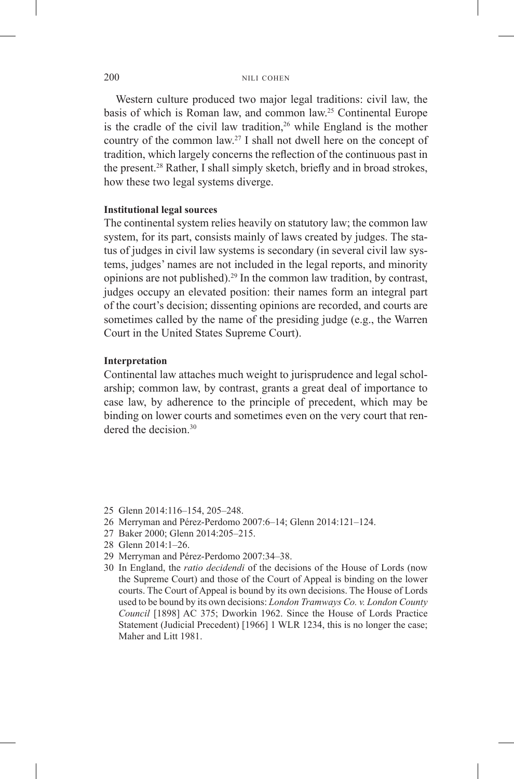Western culture produced two major legal traditions: civil law, the basis of which is Roman law, and common law.25 Continental Europe is the cradle of the civil law tradition, $26$  while England is the mother country of the common law.<sup>27</sup> I shall not dwell here on the concept of tradition, which largely concerns the reflection of the continuous past in the present.<sup>28</sup> Rather, I shall simply sketch, briefly and in broad strokes, how these two legal systems diverge.

#### **Institutional legal sources**

The continental system relies heavily on statutory law; the common law system, for its part, consists mainly of laws created by judges. The status of judges in civil law systems is secondary (in several civil law systems, judges' names are not included in the legal reports, and minority opinions are not published).29 In the common law tradition, by contrast, judges occupy an elevated position: their names form an integral part of the court's decision; dissenting opinions are recorded, and courts are sometimes called by the name of the presiding judge (e.g., the Warren Court in the United States Supreme Court).

# **Interpretation**

Continental law attaches much weight to jurisprudence and legal scholarship; common law, by contrast, grants a great deal of importance to case law, by adherence to the principle of precedent, which may be binding on lower courts and sometimes even on the very court that rendered the decision.<sup>30</sup>

- 25 Glenn 2014:116–154, 205–248.
- 26 Merryman and Pérez-Perdomo 2007:6–14; Glenn 2014:121–124.
- 27 Baker 2000; Glenn 2014:205–215.
- 28 Glenn 2014:1–26.
- 29 Merryman and Pérez-Perdomo 2007:34–38.
- 30 In England, the *ratio decidendi* of the decisions of the House of Lords (now the Supreme Court) and those of the Court of Appeal is binding on the lower courts. The Court of Appeal is bound by its own decisions. The House of Lords used to be bound by its own decisions: *London Tramways Co. v. London County Council* [1898] AC 375; Dworkin 1962. Since the House of Lords Practice Statement (Judicial Precedent) [1966] 1 WLR 1234, this is no longer the case; Maher and Litt 1981.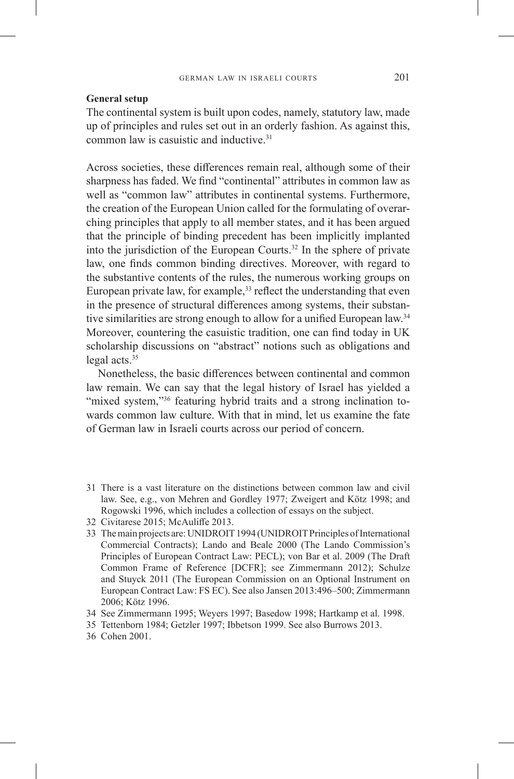# **General setup**

The continental system is built upon codes, namely, statutory law, made up of principles and rules set out in an orderly fashion. As against this, common law is casuistic and inductive.31

Across societies, these differences remain real, although some of their sharpness has faded. We find "continental" attributes in common law as well as "common law" attributes in continental systems. Furthermore, the creation of the European Union called for the formulating of overarching principles that apply to all member states, and it has been argued that the principle of binding precedent has been implicitly implanted into the jurisdiction of the European Courts.32 In the sphere of private law, one finds common binding directives. Moreover, with regard to the substantive contents of the rules, the numerous working groups on European private law, for example,  $33$  reflect the understanding that even in the presence of structural differences among systems, their substantive similarities are strong enough to allow for a unified European law.<sup>34</sup> Moreover, countering the casuistic tradition, one can find today in UK scholarship discussions on "abstract" notions such as obligations and legal acts.35

Nonetheless, the basic differences between continental and common law remain. We can say that the legal history of Israel has yielded a "mixed system,"<sup>36</sup> featuring hybrid traits and a strong inclination towards common law culture. With that in mind, let us examine the fate of German law in Israeli courts across our period of concern.

31 There is a vast literature on the distinctions between common law and civil law. See, e.g., von Mehren and Gordley 1977; Zweigert and Kötz 1998; and Rogowski 1996, which includes a collection of essays on the subject.

33 The main projects are: UNIDROIT 1994 (UNIDROIT Principles of International Commercial Contracts); Lando and Beale 2000 (The Lando Commission's Principles of European Contract Law: PECL); von Bar et al. 2009 (The Draft Common Frame of Reference [DCFR]; see Zimmermann 2012); Schulze and Stuyck 2011 (The European Commission on an Optional Instrument on European Contract Law: FS EC). See also Jansen 2013:496–500; Zimmermann 2006; Kötz 1996.

<sup>32</sup> Civitarese 2015; McAuliffe 2013.

<sup>34</sup> See Zimmermann 1995; Weyers 1997; Basedow 1998; Hartkamp et al. 1998.

<sup>35</sup> Tettenborn 1984; Getzler 1997; Ibbetson 1999. See also Burrows 2013.

<sup>36</sup> Cohen 2001.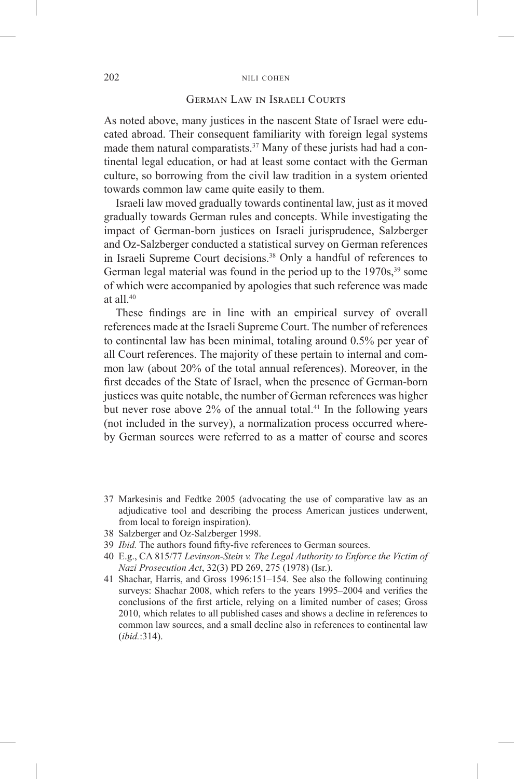# German Law in Israeli Courts

As noted above, many justices in the nascent State of Israel were educated abroad. Their consequent familiarity with foreign legal systems made them natural comparatists.<sup>37</sup> Many of these jurists had had a continental legal education, or had at least some contact with the German culture, so borrowing from the civil law tradition in a system oriented towards common law came quite easily to them.

Israeli law moved gradually towards continental law, just as it moved gradually towards German rules and concepts. While investigating the impact of German-born justices on Israeli jurisprudence, Salzberger and Oz-Salzberger conducted a statistical survey on German references in Israeli Supreme Court decisions.<sup>38</sup> Only a handful of references to German legal material was found in the period up to the  $1970s$ ,<sup>39</sup> some of which were accompanied by apologies that such reference was made at all. $40$ 

These findings are in line with an empirical survey of overall references made at the Israeli Supreme Court. The number of references to continental law has been minimal, totaling around 0.5% per year of all Court references. The majority of these pertain to internal and common law (about 20% of the total annual references). Moreover, in the first decades of the State of Israel, when the presence of German-born justices was quite notable, the number of German references was higher but never rose above  $2\%$  of the annual total.<sup>41</sup> In the following years (not included in the survey), a normalization process occurred whereby German sources were referred to as a matter of course and scores

- 37 Markesinis and Fedtke 2005 (advocating the use of comparative law as an adjudicative tool and describing the process American justices underwent, from local to foreign inspiration).
- 38 Salzberger and Oz-Salzberger 1998.
- 39 *Ibid.* The authors found fifty-five references to German sources.
- 40 E.g., CA 815/77 *Levinson-Stein v. The Legal Authority to Enforce the Victim of Nazi Prosecution Act*, 32(3) PD 269, 275 (1978) (Isr.).
- 41 Shachar, Harris, and Gross 1996:151–154. See also the following continuing surveys: Shachar 2008, which refers to the years 1995–2004 and verifies the conclusions of the first article, relying on a limited number of cases; Gross 2010, which relates to all published cases and shows a decline in references to common law sources, and a small decline also in references to continental law (*ibid.*:314).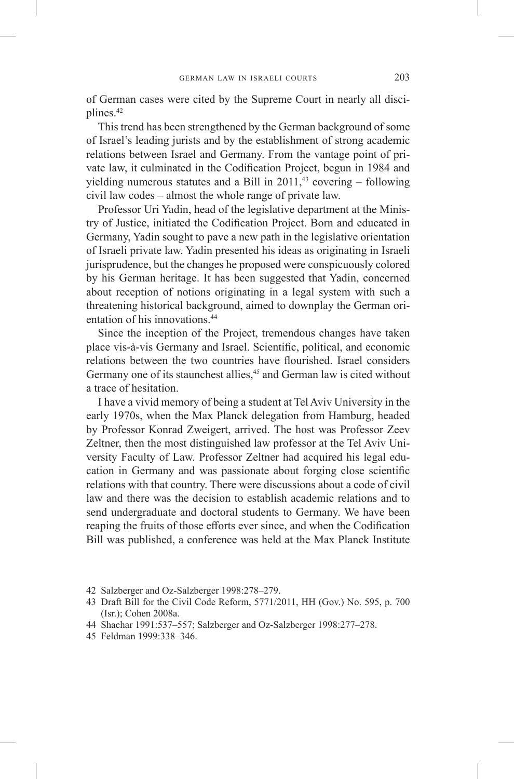of German cases were cited by the Supreme Court in nearly all disciplines.<sup>42</sup>

This trend has been strengthened by the German background of some of Israel's leading jurists and by the establishment of strong academic relations between Israel and Germany. From the vantage point of private law, it culminated in the Codification Project, begun in 1984 and yielding numerous statutes and a Bill in  $2011<sup>43</sup>$  covering – following civil law codes – almost the whole range of private law.

Professor Uri Yadin, head of the legislative department at the Ministry of Justice, initiated the Codification Project. Born and educated in Germany, Yadin sought to pave a new path in the legislative orientation of Israeli private law. Yadin presented his ideas as originating in Israeli jurisprudence, but the changes he proposed were conspicuously colored by his German heritage. It has been suggested that Yadin, concerned about reception of notions originating in a legal system with such a threatening historical background, aimed to downplay the German orientation of his innovations.<sup>44</sup>

Since the inception of the Project, tremendous changes have taken place vis-à-vis Germany and Israel. Scientific, political, and economic relations between the two countries have flourished. Israel considers Germany one of its staunchest allies,<sup>45</sup> and German law is cited without a trace of hesitation.

I have a vivid memory of being a student at Tel Aviv University in the early 1970s, when the Max Planck delegation from Hamburg, headed by Professor Konrad Zweigert, arrived. The host was Professor Zeev Zeltner, then the most distinguished law professor at the Tel Aviv University Faculty of Law. Professor Zeltner had acquired his legal education in Germany and was passionate about forging close scientific relations with that country. There were discussions about a code of civil law and there was the decision to establish academic relations and to send undergraduate and doctoral students to Germany. We have been reaping the fruits of those efforts ever since, and when the Codification Bill was published, a conference was held at the Max Planck Institute

<sup>42</sup> Salzberger and Oz-Salzberger 1998:278–279.

<sup>43</sup> Draft Bill for the Civil Code Reform, 5771/2011, HH (Gov.) No. 595, p. 700 (Isr.); Cohen 2008a.

<sup>44</sup> Shachar 1991:537–557; Salzberger and Oz-Salzberger 1998:277–278.

<sup>45</sup> Feldman 1999:338–346.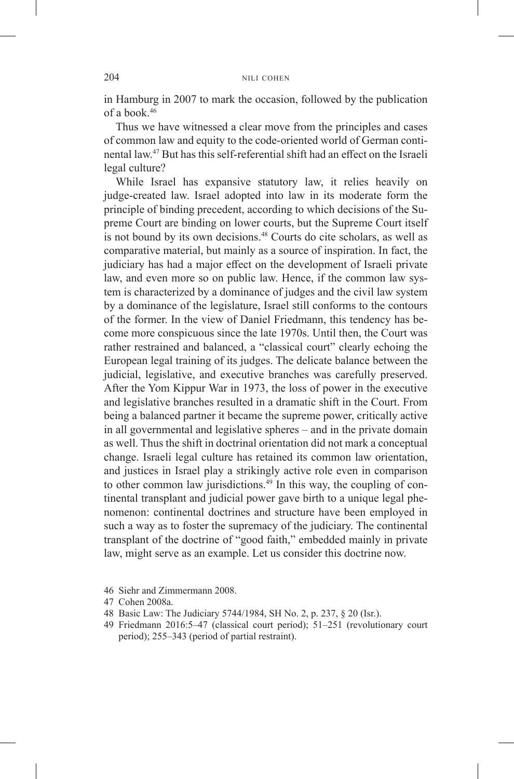in Hamburg in 2007 to mark the occasion, followed by the publication of a book.46

Thus we have witnessed a clear move from the principles and cases of common law and equity to the code-oriented world of German continental law.47 But has this self-referential shift had an effect on the Israeli legal culture?

While Israel has expansive statutory law, it relies heavily on judge-created law. Israel adopted into law in its moderate form the principle of binding precedent, according to which decisions of the Supreme Court are binding on lower courts, but the Supreme Court itself is not bound by its own decisions.<sup>48</sup> Courts do cite scholars, as well as comparative material, but mainly as a source of inspiration. In fact, the judiciary has had a major effect on the development of Israeli private law, and even more so on public law. Hence, if the common law system is characterized by a dominance of judges and the civil law system by a dominance of the legislature, Israel still conforms to the contours of the former. In the view of Daniel Friedmann, this tendency has become more conspicuous since the late 1970s. Until then, the Court was rather restrained and balanced, a "classical court" clearly echoing the European legal training of its judges. The delicate balance between the judicial, legislative, and executive branches was carefully preserved. After the Yom Kippur War in 1973, the loss of power in the executive and legislative branches resulted in a dramatic shift in the Court. From being a balanced partner it became the supreme power, critically active in all governmental and legislative spheres – and in the private domain as well. Thus the shift in doctrinal orientation did not mark a conceptual change. Israeli legal culture has retained its common law orientation, and justices in Israel play a strikingly active role even in comparison to other common law jurisdictions.<sup>49</sup> In this way, the coupling of continental transplant and judicial power gave birth to a unique legal phenomenon: continental doctrines and structure have been employed in such a way as to foster the supremacy of the judiciary. The continental transplant of the doctrine of "good faith," embedded mainly in private law, might serve as an example. Let us consider this doctrine now.

- 46 Siehr and Zimmermann 2008.
- 47 Cohen 2008a.
- 48 Basic Law: The Judiciary 5744/1984, SH No. 2, p. 237, § 20 (Isr.).
- 49 Friedmann 2016:5–47 (classical court period); 51–251 (revolutionary court period); 255–343 (period of partial restraint).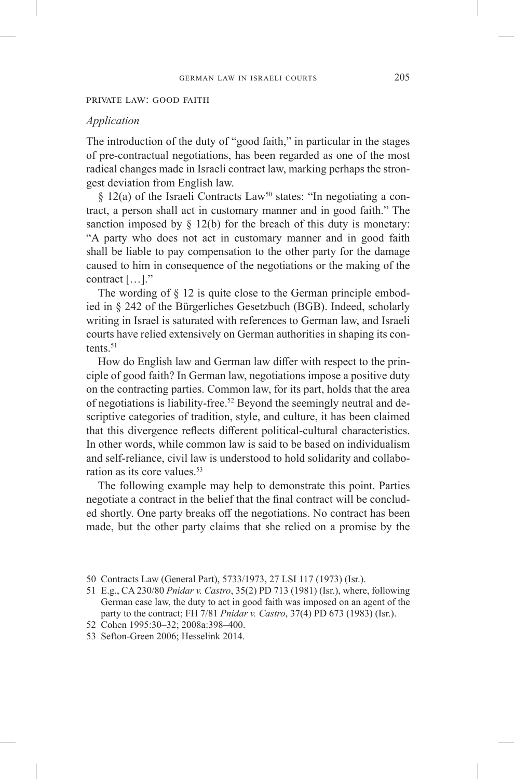#### private law: good faith

#### *Application*

The introduction of the duty of "good faith," in particular in the stages of pre-contractual negotiations, has been regarded as one of the most radical changes made in Israeli contract law, marking perhaps the strongest deviation from English law.

§ 12(a) of the Israeli Contracts Law<sup>50</sup> states: "In negotiating a contract, a person shall act in customary manner and in good faith." The sanction imposed by  $\S$  12(b) for the breach of this duty is monetary: "A party who does not act in customary manner and in good faith shall be liable to pay compensation to the other party for the damage caused to him in consequence of the negotiations or the making of the contract […]."

The wording of § 12 is quite close to the German principle embodied in § 242 of the Bürgerliches Gesetzbuch (BGB). Indeed, scholarly writing in Israel is saturated with references to German law, and Israeli courts have relied extensively on German authorities in shaping its contents. $51$ 

How do English law and German law differ with respect to the principle of good faith? In German law, negotiations impose a positive duty on the contracting parties. Common law, for its part, holds that the area of negotiations is liability-free.<sup>52</sup> Beyond the seemingly neutral and descriptive categories of tradition, style, and culture, it has been claimed that this divergence reflects different political-cultural characteristics. In other words, while common law is said to be based on individualism and self-reliance, civil law is understood to hold solidarity and collaboration as its core values.<sup>53</sup>

The following example may help to demonstrate this point. Parties negotiate a contract in the belief that the final contract will be concluded shortly. One party breaks off the negotiations. No contract has been made, but the other party claims that she relied on a promise by the

52 Cohen 1995:30–32; 2008a:398–400.

<sup>50</sup> Contracts Law (General Part), 5733/1973, 27 LSI 117 (1973) (Isr.).

<sup>51</sup> E.g., CA 230/80 *Pnidar v. Castro*, 35(2) PD 713 (1981) (Isr.), where, following German case law, the duty to act in good faith was imposed on an agent of the party to the contract; FH 7/81 *Pnidar v. Castro*, 37(4) PD 673 (1983) (Isr.).

<sup>53</sup> Sefton-Green 2006; Hesselink 2014.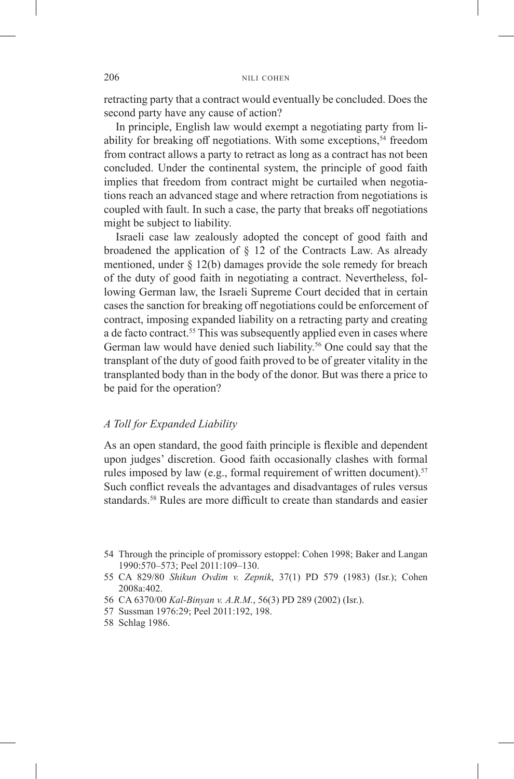retracting party that a contract would eventually be concluded. Does the second party have any cause of action?

In principle, English law would exempt a negotiating party from liability for breaking off negotiations. With some exceptions, $54$  freedom from contract allows a party to retract as long as a contract has not been concluded. Under the continental system, the principle of good faith implies that freedom from contract might be curtailed when negotiations reach an advanced stage and where retraction from negotiations is coupled with fault. In such a case, the party that breaks off negotiations might be subject to liability.

Israeli case law zealously adopted the concept of good faith and broadened the application of  $\S$  12 of the Contracts Law. As already mentioned, under § 12(b) damages provide the sole remedy for breach of the duty of good faith in negotiating a contract. Nevertheless, following German law, the Israeli Supreme Court decided that in certain cases the sanction for breaking off negotiations could be enforcement of contract, imposing expanded liability on a retracting party and creating a de facto contract.<sup>55</sup> This was subsequently applied even in cases where German law would have denied such liability.<sup>56</sup> One could say that the transplant of the duty of good faith proved to be of greater vitality in the transplanted body than in the body of the donor. But was there a price to be paid for the operation?

# *A Toll for Expanded Liability*

As an open standard, the good faith principle is flexible and dependent upon judges' discretion. Good faith occasionally clashes with formal rules imposed by law (e.g., formal requirement of written document).<sup>57</sup> Such conflict reveals the advantages and disadvantages of rules versus standards.<sup>58</sup> Rules are more difficult to create than standards and easier

- 56 CA 6370/00 *Kal-Binyan v. A.R.M.*, 56(3) PD 289 (2002) (Isr.).
- 57 Sussman 1976:29; Peel 2011:192, 198.
- 58 Schlag 1986.

<sup>54</sup> Through the principle of promissory estoppel: Cohen 1998; Baker and Langan 1990:570–573; Peel 2011:109–130.

<sup>55</sup> CA 829/80 *Shikun Ovdim v. Zepnik*, 37(1) PD 579 (1983) (Isr.); Cohen 2008a:402.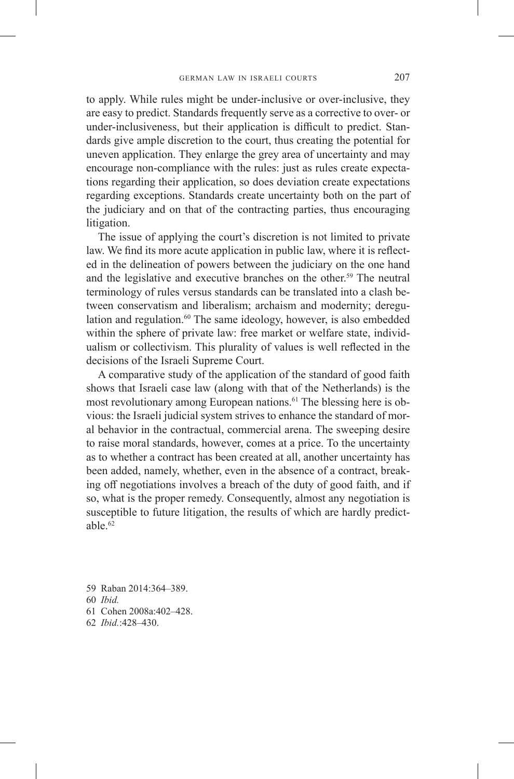to apply. While rules might be under-inclusive or over-inclusive, they are easy to predict. Standards frequently serve as a corrective to over- or under-inclusiveness, but their application is difficult to predict. Standards give ample discretion to the court, thus creating the potential for uneven application. They enlarge the grey area of uncertainty and may encourage non-compliance with the rules: just as rules create expectations regarding their application, so does deviation create expectations regarding exceptions. Standards create uncertainty both on the part of the judiciary and on that of the contracting parties, thus encouraging litigation.

The issue of applying the court's discretion is not limited to private law. We find its more acute application in public law, where it is reflected in the delineation of powers between the judiciary on the one hand and the legislative and executive branches on the other.<sup>59</sup> The neutral terminology of rules versus standards can be translated into a clash between conservatism and liberalism; archaism and modernity; deregulation and regulation. $60$  The same ideology, however, is also embedded within the sphere of private law: free market or welfare state, individualism or collectivism. This plurality of values is well reflected in the decisions of the Israeli Supreme Court.

A comparative study of the application of the standard of good faith shows that Israeli case law (along with that of the Netherlands) is the most revolutionary among European nations.<sup>61</sup> The blessing here is obvious: the Israeli judicial system strives to enhance the standard of moral behavior in the contractual, commercial arena. The sweeping desire to raise moral standards, however, comes at a price. To the uncertainty as to whether a contract has been created at all, another uncertainty has been added, namely, whether, even in the absence of a contract, breaking off negotiations involves a breach of the duty of good faith, and if so, what is the proper remedy. Consequently, almost any negotiation is susceptible to future litigation, the results of which are hardly predictable.62

- 59 Raban 2014:364–389. 60 *Ibid.* 61 Cohen 2008a:402–428.
- 62 *Ibid.*:428–430.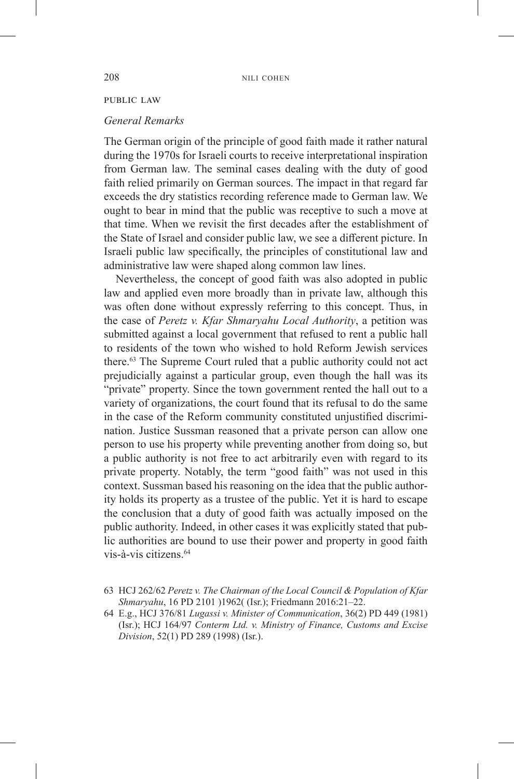### public law

#### *General Remarks*

The German origin of the principle of good faith made it rather natural during the 1970s for Israeli courts to receive interpretational inspiration from German law. The seminal cases dealing with the duty of good faith relied primarily on German sources. The impact in that regard far exceeds the dry statistics recording reference made to German law. We ought to bear in mind that the public was receptive to such a move at that time. When we revisit the first decades after the establishment of the State of Israel and consider public law, we see a different picture. In Israeli public law specifically, the principles of constitutional law and administrative law were shaped along common law lines.

Nevertheless, the concept of good faith was also adopted in public law and applied even more broadly than in private law, although this was often done without expressly referring to this concept. Thus, in the case of *Peretz v. Kfar Shmaryahu Local Authority*, a petition was submitted against a local government that refused to rent a public hall to residents of the town who wished to hold Reform Jewish services there.63 The Supreme Court ruled that a public authority could not act prejudicially against a particular group, even though the hall was its "private" property. Since the town government rented the hall out to a variety of organizations, the court found that its refusal to do the same in the case of the Reform community constituted unjustified discrimination. Justice Sussman reasoned that a private person can allow one person to use his property while preventing another from doing so, but a public authority is not free to act arbitrarily even with regard to its private property. Notably, the term "good faith" was not used in this context. Sussman based his reasoning on the idea that the public authority holds its property as a trustee of the public. Yet it is hard to escape the conclusion that a duty of good faith was actually imposed on the public authority. Indeed, in other cases it was explicitly stated that public authorities are bound to use their power and property in good faith vis-à-vis citizens.<sup>64</sup>

<sup>63</sup> HCJ 262/62 *Peretz v. The Chairman of the Local Council & Population of Kfar Shmaryahu*, 16 PD 2101 )1962((Isr.); Friedmann 2016:21-22.

<sup>64</sup> E.g., HCJ 376/81 *Lugassi v. Minister of Communication*, 36(2) PD 449 (1981) (Isr.); HCJ 164/97 *Conterm Ltd. v. Ministry of Finance, Customs and Excise Division*, 52(1) PD 289 (1998) (Isr.).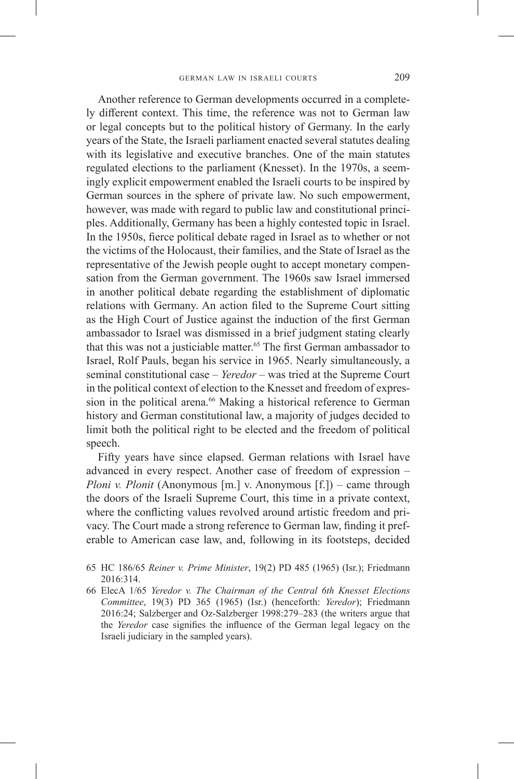Another reference to German developments occurred in a completely different context. This time, the reference was not to German law or legal concepts but to the political history of Germany. In the early years of the State, the Israeli parliament enacted several statutes dealing with its legislative and executive branches. One of the main statutes regulated elections to the parliament (Knesset). In the 1970s, a seemingly explicit empowerment enabled the Israeli courts to be inspired by German sources in the sphere of private law. No such empowerment, however, was made with regard to public law and constitutional principles. Additionally, Germany has been a highly contested topic in Israel. In the 1950s, fierce political debate raged in Israel as to whether or not the victims of the Holocaust, their families, and the State of Israel as the representative of the Jewish people ought to accept monetary compensation from the German government. The 1960s saw Israel immersed in another political debate regarding the establishment of diplomatic relations with Germany. An action filed to the Supreme Court sitting as the High Court of Justice against the induction of the first German ambassador to Israel was dismissed in a brief judgment stating clearly that this was not a justiciable matter.<sup>65</sup> The first German ambassador to Israel, Rolf Pauls, began his service in 1965. Nearly simultaneously, a seminal constitutional case – *Yeredor* – was tried at the Supreme Court in the political context of election to the Knesset and freedom of expression in the political arena.<sup>66</sup> Making a historical reference to German history and German constitutional law, a majority of judges decided to limit both the political right to be elected and the freedom of political speech.

Fifty years have since elapsed. German relations with Israel have advanced in every respect. Another case of freedom of expression – *Ploni v. Plonit* (Anonymous [m.] v. Anonymous [f.]) – came through the doors of the Israeli Supreme Court, this time in a private context, where the conflicting values revolved around artistic freedom and privacy. The Court made a strong reference to German law, finding it preferable to American case law, and, following in its footsteps, decided

- 65 HC 186/65 *Reiner v. Prime Minister*, 19(2) PD 485 (1965) (Isr.); Friedmann 2016:314.
- 66 ElecA 1/65 *Yeredor v. The Chairman of the Central 6th Knesset Elections Committee*, 19(3) PD 365 (1965) (Isr.) (henceforth: *Yeredor*); Friedmann 2016:24; Salzberger and Oz-Salzberger 1998:279–283 (the writers argue that the *Yeredor* case signifies the influence of the German legal legacy on the Israeli judiciary in the sampled years).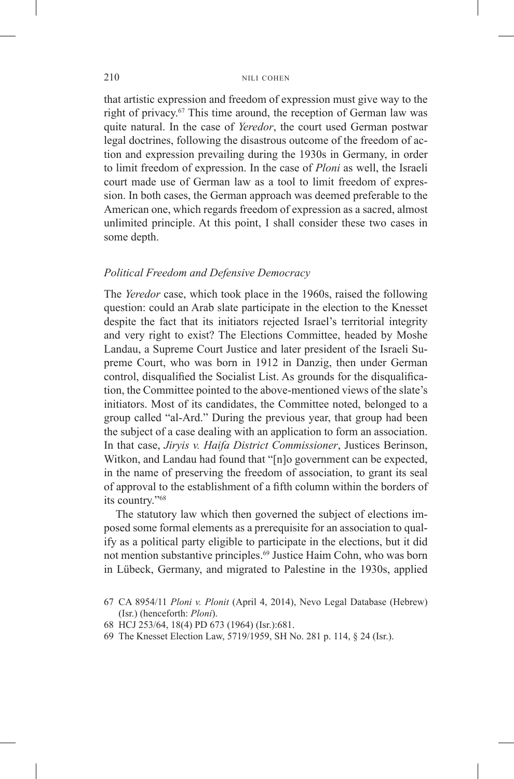that artistic expression and freedom of expression must give way to the right of privacy.<sup>67</sup> This time around, the reception of German law was quite natural. In the case of *Yeredor*, the court used German postwar legal doctrines, following the disastrous outcome of the freedom of action and expression prevailing during the 1930s in Germany, in order to limit freedom of expression. In the case of *Ploni* as well, the Israeli court made use of German law as a tool to limit freedom of expression. In both cases, the German approach was deemed preferable to the American one, which regards freedom of expression as a sacred, almost unlimited principle. At this point, I shall consider these two cases in some depth.

# *Political Freedom and Defensive Democracy*

The *Yeredor* case, which took place in the 1960s, raised the following question: could an Arab slate participate in the election to the Knesset despite the fact that its initiators rejected Israel's territorial integrity and very right to exist? The Elections Committee, headed by Moshe Landau, a Supreme Court Justice and later president of the Israeli Supreme Court, who was born in 1912 in Danzig, then under German control, disqualified the Socialist List. As grounds for the disqualification, the Committee pointed to the above-mentioned views of the slate's initiators. Most of its candidates, the Committee noted, belonged to a group called "al-Ard." During the previous year, that group had been the subject of a case dealing with an application to form an association. In that case, *Jiryis v. Haifa District Commissioner*, Justices Berinson, Witkon, and Landau had found that "[n]o government can be expected, in the name of preserving the freedom of association, to grant its seal of approval to the establishment of a fifth column within the borders of its country."68

The statutory law which then governed the subject of elections imposed some formal elements as a prerequisite for an association to qualify as a political party eligible to participate in the elections, but it did not mention substantive principles.69 Justice Haim Cohn, who was born in Lübeck, Germany, and migrated to Palestine in the 1930s, applied

- 68 HCJ 253/64, 18(4) PD 673 (1964) (Isr.):681.
- 69 The Knesset Election Law, 5719/1959, SH No. 281 p. 114, § 24 (Isr.).

<sup>67</sup> CA 8954/11 *Ploni v. Plonit* (April 4, 2014), Nevo Legal Database (Hebrew) (Isr.) (henceforth: *Ploni*).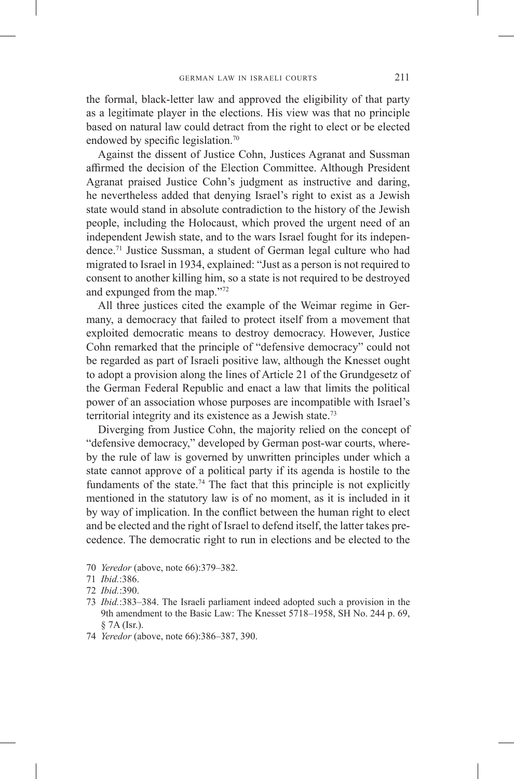the formal, black-letter law and approved the eligibility of that party as a legitimate player in the elections. His view was that no principle based on natural law could detract from the right to elect or be elected endowed by specific legislation.<sup>70</sup>

Against the dissent of Justice Cohn, Justices Agranat and Sussman affirmed the decision of the Election Committee. Although President Agranat praised Justice Cohn's judgment as instructive and daring, he nevertheless added that denying Israel's right to exist as a Jewish state would stand in absolute contradiction to the history of the Jewish people, including the Holocaust, which proved the urgent need of an independent Jewish state, and to the wars Israel fought for its independence.71 Justice Sussman, a student of German legal culture who had migrated to Israel in 1934, explained: "Just as a person is not required to consent to another killing him, so a state is not required to be destroyed and expunged from the map."72

All three justices cited the example of the Weimar regime in Germany, a democracy that failed to protect itself from a movement that exploited democratic means to destroy democracy. However, Justice Cohn remarked that the principle of "defensive democracy" could not be regarded as part of Israeli positive law, although the Knesset ought to adopt a provision along the lines of Article 21 of the Grundgesetz of the German Federal Republic and enact a law that limits the political power of an association whose purposes are incompatible with Israel's territorial integrity and its existence as a Jewish state.<sup>73</sup>

Diverging from Justice Cohn, the majority relied on the concept of "defensive democracy," developed by German post-war courts, whereby the rule of law is governed by unwritten principles under which a state cannot approve of a political party if its agenda is hostile to the fundaments of the state.<sup>74</sup> The fact that this principle is not explicitly mentioned in the statutory law is of no moment, as it is included in it by way of implication. In the conflict between the human right to elect and be elected and the right of Israel to defend itself, the latter takes precedence. The democratic right to run in elections and be elected to the

- 70 *Yeredor* (above, note 66):379–382.
- 71 *Ibid.*:386.
- 72 *Ibid.*:390.
- 73 *Ibid.*:383–384. The Israeli parliament indeed adopted such a provision in the 9th amendment to the Basic Law: The Knesset 5718–1958, SH No. 244 p. 69, § 7A (Isr.).
- 74 *Yeredor* (above, note 66):386–387, 390.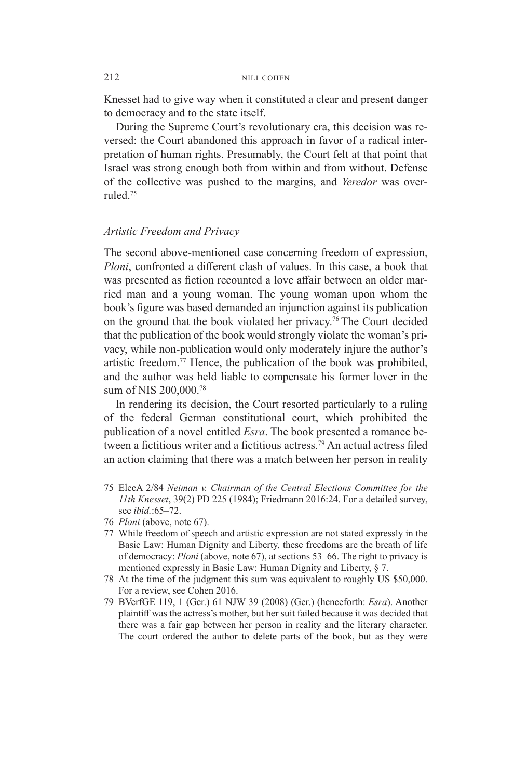Knesset had to give way when it constituted a clear and present danger to democracy and to the state itself.

During the Supreme Court's revolutionary era, this decision was reversed: the Court abandoned this approach in favor of a radical interpretation of human rights. Presumably, the Court felt at that point that Israel was strong enough both from within and from without. Defense of the collective was pushed to the margins, and *Yeredor* was overruled.75

# *Artistic Freedom and Privacy*

The second above-mentioned case concerning freedom of expression, *Ploni*, confronted a different clash of values. In this case, a book that was presented as fiction recounted a love affair between an older married man and a young woman. The young woman upon whom the book's figure was based demanded an injunction against its publication on the ground that the book violated her privacy.76 The Court decided that the publication of the book would strongly violate the woman's privacy, while non-publication would only moderately injure the author's artistic freedom.<sup>77</sup> Hence, the publication of the book was prohibited, and the author was held liable to compensate his former lover in the sum of NIS 200,000.78

In rendering its decision, the Court resorted particularly to a ruling of the federal German constitutional court, which prohibited the publication of a novel entitled *Esra*. The book presented a romance between a fictitious writer and a fictitious actress.<sup>79</sup> An actual actress filed an action claiming that there was a match between her person in reality

- 75 ElecA 2/84 *Neiman v. Chairman of the Central Elections Committee for the 11th Knesset*, 39(2) PD 225 (1984); Friedmann 2016:24. For a detailed survey, see *ibid.*:65–72.
- 76 *Ploni* (above, note 67).
- 77 While freedom of speech and artistic expression are not stated expressly in the Basic Law: Human Dignity and Liberty, these freedoms are the breath of life of democracy: *Ploni* (above, note 67), at sections 53–66. The right to privacy is mentioned expressly in Basic Law: Human Dignity and Liberty, § 7.
- 78 At the time of the judgment this sum was equivalent to roughly US \$50,000. For a review, see Cohen 2016.
- 79 BVerfGE 119, 1 (Ger.) 61 NJW 39 (2008) (Ger.) (henceforth: *Esra*). Another plaintiff was the actress's mother, but her suit failed because it was decided that there was a fair gap between her person in reality and the literary character. The court ordered the author to delete parts of the book, but as they were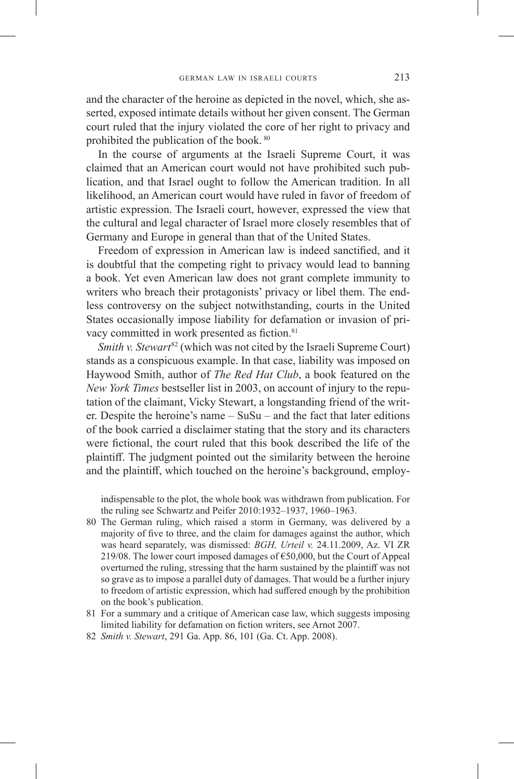and the character of the heroine as depicted in the novel, which, she asserted, exposed intimate details without her given consent. The German court ruled that the injury violated the core of her right to privacy and prohibited the publication of the book. <sup>80</sup>

In the course of arguments at the Israeli Supreme Court, it was claimed that an American court would not have prohibited such publication, and that Israel ought to follow the American tradition. In all likelihood, an American court would have ruled in favor of freedom of artistic expression. The Israeli court, however, expressed the view that the cultural and legal character of Israel more closely resembles that of Germany and Europe in general than that of the United States.

Freedom of expression in American law is indeed sanctified, and it is doubtful that the competing right to privacy would lead to banning a book. Yet even American law does not grant complete immunity to writers who breach their protagonists' privacy or libel them. The endless controversy on the subject notwithstanding, courts in the United States occasionally impose liability for defamation or invasion of privacy committed in work presented as fiction.<sup>81</sup>

*Smith v. Stewart*<sup>82</sup> (which was not cited by the Israeli Supreme Court) stands as a conspicuous example. In that case, liability was imposed on Haywood Smith, author of *The Red Hat Club*, a book featured on the *New York Times* bestseller list in 2003, on account of injury to the reputation of the claimant, Vicky Stewart, a longstanding friend of the writer. Despite the heroine's name  $-$  SuSu – and the fact that later editions of the book carried a disclaimer stating that the story and its characters were fictional, the court ruled that this book described the life of the plaintiff. The judgment pointed out the similarity between the heroine and the plaintiff, which touched on the heroine's background, employ-

indispensable to the plot, the whole book was withdrawn from publication. For the ruling see Schwartz and Peifer 2010:1932–1937, 1960–1963.

- 80 The German ruling, which raised a storm in Germany, was delivered by a majority of five to three, and the claim for damages against the author, which was heard separately, was dismissed: *BGH, Urteil v.* 24.11.2009, Az. VI ZR 219/08. The lower court imposed damages of  $\epsilon$ 50,000, but the Court of Appeal overturned the ruling, stressing that the harm sustained by the plaintiff was not so grave as to impose a parallel duty of damages. That would be a further injury to freedom of artistic expression, which had suffered enough by the prohibition on the book's publication.
- 81 For a summary and a critique of American case law, which suggests imposing limited liability for defamation on fiction writers, see Arnot 2007.
- 82 *Smith v. Stewart*, 291 Ga. App. 86, 101 (Ga. Ct. App. 2008).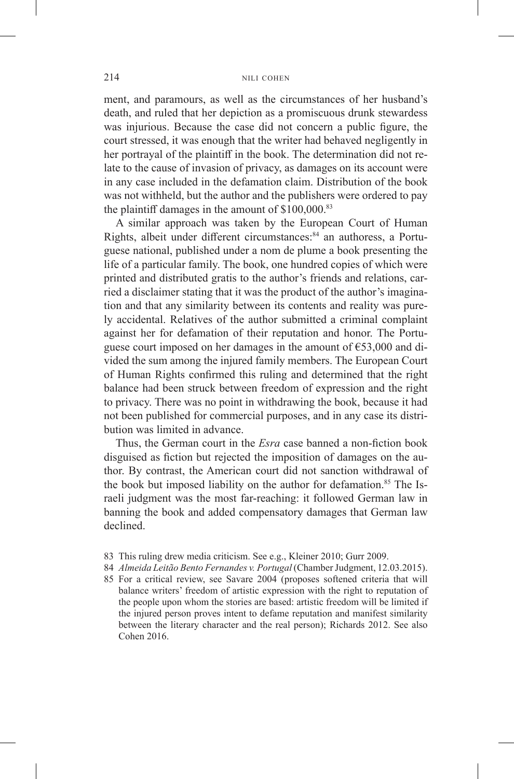ment, and paramours, as well as the circumstances of her husband's death, and ruled that her depiction as a promiscuous drunk stewardess was injurious. Because the case did not concern a public figure, the court stressed, it was enough that the writer had behaved negligently in her portrayal of the plaintiff in the book. The determination did not relate to the cause of invasion of privacy, as damages on its account were in any case included in the defamation claim. Distribution of the book was not withheld, but the author and the publishers were ordered to pay the plaintiff damages in the amount of \$100,000.83

A similar approach was taken by the European Court of Human Rights, albeit under different circumstances:<sup>84</sup> an authoress, a Portuguese national, published under a nom de plume a book presenting the life of a particular family. The book, one hundred copies of which were printed and distributed gratis to the author's friends and relations, carried a disclaimer stating that it was the product of the author's imagination and that any similarity between its contents and reality was purely accidental. Relatives of the author submitted a criminal complaint against her for defamation of their reputation and honor. The Portuguese court imposed on her damages in the amount of  $\epsilon$ 53,000 and divided the sum among the injured family members. The European Court of Human Rights confirmed this ruling and determined that the right balance had been struck between freedom of expression and the right to privacy. There was no point in withdrawing the book, because it had not been published for commercial purposes, and in any case its distribution was limited in advance.

Thus, the German court in the *Esra* case banned a non-fiction book disguised as fiction but rejected the imposition of damages on the author. By contrast, the American court did not sanction withdrawal of the book but imposed liability on the author for defamation.<sup>85</sup> The Israeli judgment was the most far-reaching: it followed German law in banning the book and added compensatory damages that German law declined.

- 83 This ruling drew media criticism. See e.g., Kleiner 2010; Gurr 2009.
- 84 *Almeida Leitão Bento Fernandes v. Portugal* (Chamber Judgment, 12.03.2015).
- 85 For a critical review, see Savare 2004 (proposes softened criteria that will balance writers' freedom of artistic expression with the right to reputation of the people upon whom the stories are based: artistic freedom will be limited if the injured person proves intent to defame reputation and manifest similarity between the literary character and the real person); Richards 2012. See also Cohen 2016.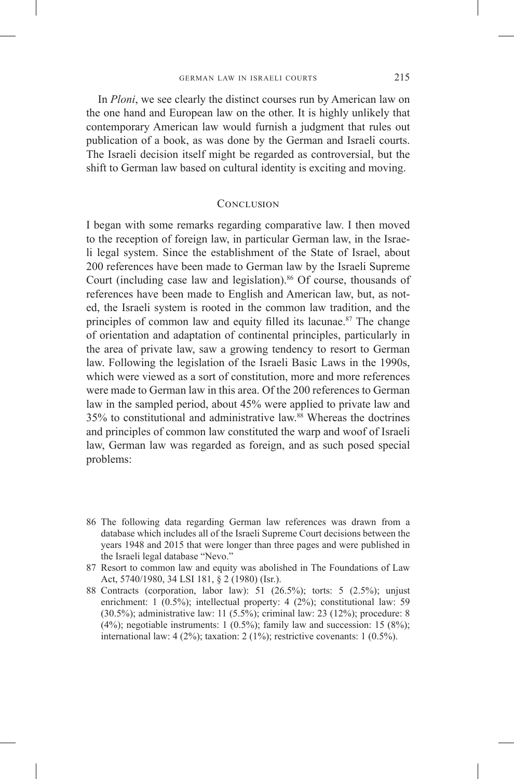In *Ploni*, we see clearly the distinct courses run by American law on the one hand and European law on the other. It is highly unlikely that contemporary American law would furnish a judgment that rules out publication of a book, as was done by the German and Israeli courts. The Israeli decision itself might be regarded as controversial, but the shift to German law based on cultural identity is exciting and moving.

# **CONCLUSION**

I began with some remarks regarding comparative law. I then moved to the reception of foreign law, in particular German law, in the Israeli legal system. Since the establishment of the State of Israel, about 200 references have been made to German law by the Israeli Supreme Court (including case law and legislation).<sup>86</sup> Of course, thousands of references have been made to English and American law, but, as noted, the Israeli system is rooted in the common law tradition, and the principles of common law and equity filled its lacunae.<sup>87</sup> The change of orientation and adaptation of continental principles, particularly in the area of private law, saw a growing tendency to resort to German law. Following the legislation of the Israeli Basic Laws in the 1990s, which were viewed as a sort of constitution, more and more references were made to German law in this area. Of the 200 references to German law in the sampled period, about 45% were applied to private law and 35% to constitutional and administrative law.88 Whereas the doctrines and principles of common law constituted the warp and woof of Israeli law, German law was regarded as foreign, and as such posed special problems:

- 86 The following data regarding German law references was drawn from a database which includes all of the Israeli Supreme Court decisions between the years 1948 and 2015 that were longer than three pages and were published in the Israeli legal database "Nevo."
- 87 Resort to common law and equity was abolished in The Foundations of Law Act, 5740/1980, 34 LSI 181, § 2 (1980) (Isr.).
- 88 Contracts (corporation, labor law): 51 (26.5%); torts: 5 (2.5%); unjust enrichment: 1 (0.5%); intellectual property: 4 (2%); constitutional law: 59 (30.5%); administrative law: 11 (5.5%); criminal law: 23 (12%); procedure: 8  $(4\%)$ ; negotiable instruments: 1  $(0.5\%)$ ; family law and succession: 15  $(8\%)$ ; international law:  $4(2\%)$ ; taxation:  $2(1\%)$ ; restrictive covenants:  $1(0.5\%)$ .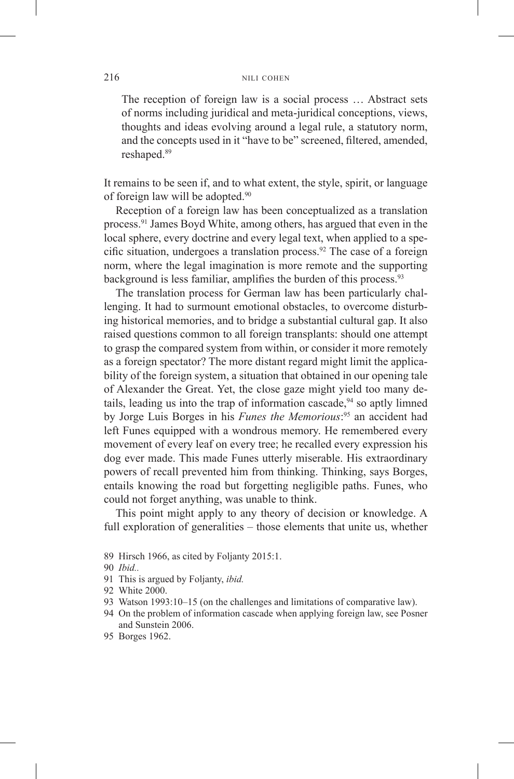The reception of foreign law is a social process … Abstract sets of norms including juridical and meta-juridical conceptions, views, thoughts and ideas evolving around a legal rule, a statutory norm, and the concepts used in it "have to be" screened, filtered, amended, reshaped.<sup>89</sup>

It remains to be seen if, and to what extent, the style, spirit, or language of foreign law will be adopted.<sup>90</sup>

Reception of a foreign law has been conceptualized as a translation process.91 James Boyd White, among others, has argued that even in the local sphere, every doctrine and every legal text, when applied to a specific situation, undergoes a translation process.<sup>92</sup> The case of a foreign norm, where the legal imagination is more remote and the supporting background is less familiar, amplifies the burden of this process.<sup>93</sup>

The translation process for German law has been particularly challenging. It had to surmount emotional obstacles, to overcome disturbing historical memories, and to bridge a substantial cultural gap. It also raised questions common to all foreign transplants: should one attempt to grasp the compared system from within, or consider it more remotely as a foreign spectator? The more distant regard might limit the applicability of the foreign system, a situation that obtained in our opening tale of Alexander the Great. Yet, the close gaze might yield too many details, leading us into the trap of information cascade, $94$  so aptly limned by Jorge Luis Borges in his *Funes the Memorious*: 95 an accident had left Funes equipped with a wondrous memory. He remembered every movement of every leaf on every tree; he recalled every expression his dog ever made. This made Funes utterly miserable. His extraordinary powers of recall prevented him from thinking. Thinking, says Borges, entails knowing the road but forgetting negligible paths. Funes, who could not forget anything, was unable to think.

This point might apply to any theory of decision or knowledge. A full exploration of generalities – those elements that unite us, whether

- 89 Hirsch 1966, as cited by Foljanty 2015:1.
- 90 *Ibid..*
- 91 This is argued by Foljanty, *ibid.*
- 92 White 2000.
- 93 Watson 1993:10–15 (on the challenges and limitations of comparative law).
- 94 On the problem of information cascade when applying foreign law, see Posner and Sunstein 2006.
- 95 Borges 1962.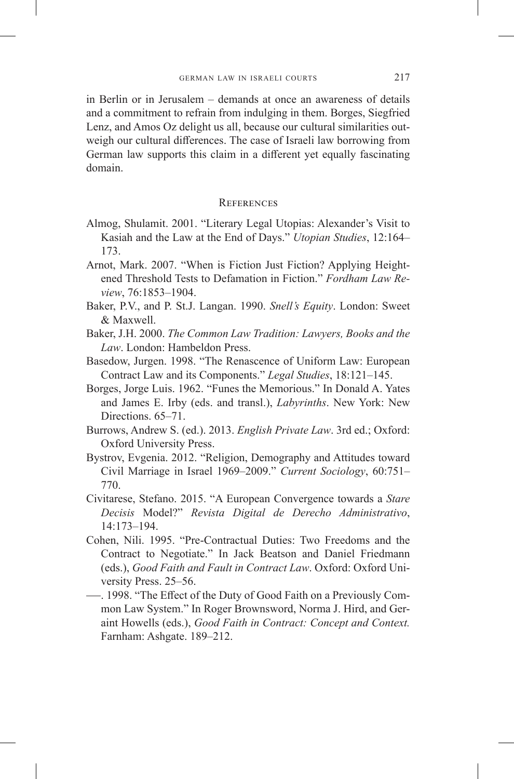in Berlin or in Jerusalem – demands at once an awareness of details and a commitment to refrain from indulging in them. Borges, Siegfried Lenz, and Amos Oz delight us all, because our cultural similarities outweigh our cultural differences. The case of Israeli law borrowing from German law supports this claim in a different yet equally fascinating domain.

# **REFERENCES**

- Almog, Shulamit. 2001. "Literary Legal Utopias: Alexander's Visit to Kasiah and the Law at the End of Days." *Utopian Studies*, 12:164– 173.
- Arnot, Mark. 2007. "When is Fiction Just Fiction? Applying Heightened Threshold Tests to Defamation in Fiction." *Fordham Law Review*, 76:1853–1904.
- Baker, P.V., and P. St.J. Langan. 1990. *Snell's Equity*. London: Sweet & Maxwell.
- Baker, J.H. 2000. *The Common Law Tradition: Lawyers, Books and the Law*. London: Hambeldon Press.
- Basedow, Jurgen. 1998. "The Renascence of Uniform Law: European Contract Law and its Components." *Legal Studies*, 18:121–145.
- Borges, Jorge Luis. 1962. "Funes the Memorious." In Donald A. Yates and James E. Irby (eds. and transl.), *Labyrinths*. New York: New Directions.  $65-71$ .
- Burrows, Andrew S. (ed.). 2013. *English Private Law*. 3rd ed.; Oxford: Oxford University Press.
- Bystrov, Evgenia. 2012. "Religion, Demography and Attitudes toward Civil Marriage in Israel 1969–2009." *Current Sociology*, 60:751– 770.
- Civitarese, Stefano. 2015. "A European Convergence towards a *Stare Decisis* Model?" *Revista Digital de Derecho Administrativo*, 14:173–194.
- Cohen, Nili. 1995. "Pre-Contractual Duties: Two Freedoms and the Contract to Negotiate." In Jack Beatson and Daniel Friedmann (eds.), *Good Faith and Fault in Contract Law*. Oxford: Oxford University Press. 25–56.
- . 1998. "The Effect of the Duty of Good Faith on a Previously Common Law System." In Roger Brownsword, Norma J. Hird, and Geraint Howells (eds.), *Good Faith in Contract: Concept and Context.* Farnham: Ashgate. 189–212.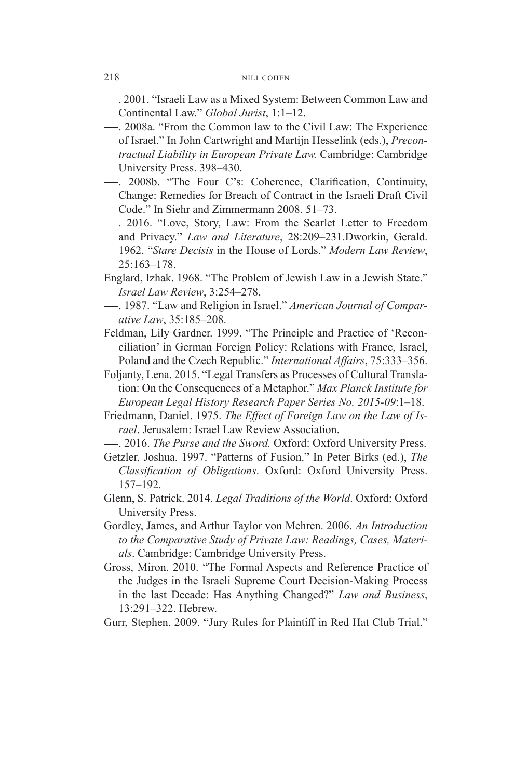- . 2001. "Israeli Law as a Mixed System: Between Common Law and Continental Law." *Global Jurist*, 1:1–12.
- . 2008a. "From the Common law to the Civil Law: The Experience of Israel." In John Cartwright and Martijn Hesselink (eds.), *Precontractual Liability in European Private Law.* Cambridge: Cambridge University Press. 398–430.
- . 2008b. "The Four C's: Coherence, Clarification, Continuity, Change: Remedies for Breach of Contract in the Israeli Draft Civil Code." In Siehr and Zimmermann 2008. 51–73.
- . 2016. "Love, Story, Law: From the Scarlet Letter to Freedom and Privacy." *Law and Literature*, 28:209–231.Dworkin, Gerald. 1962. "*Stare Decisis* in the House of Lords." *Modern Law Review*, 25:163–178.
- Englard, Izhak. 1968. "The Problem of Jewish Law in a Jewish State." *Israel Law Review*, 3:254–278.
- . 1987. "Law and Religion in Israel." *American Journal of Comparative Law*, 35:185–208.
- Feldman, Lily Gardner. 1999. "The Principle and Practice of 'Reconciliation' in German Foreign Policy: Relations with France, Israel, Poland and the Czech Republic." *International Affairs*, 75:333–356.
- Foljanty, Lena. 2015. "Legal Transfers as Processes of Cultural Translation: On the Consequences of a Metaphor." *Max Planck Institute for European Legal History Research Paper Series No. 2015-09*:1–18.
- Friedmann, Daniel. 1975. *The Effect of Foreign Law on the Law of Israel*. Jerusalem: Israel Law Review Association.
- . 2016. *The Purse and the Sword.* Oxford: Oxford University Press.
- Getzler, Joshua. 1997. "Patterns of Fusion." In Peter Birks (ed.), *The Classification of Obligations*. Oxford: Oxford University Press. 157–192.
- Glenn, S. Patrick. 2014. *Legal Traditions of the World*. Oxford: Oxford University Press.
- Gordley, James, and Arthur Taylor von Mehren. 2006. *An Introduction to the Comparative Study of Private Law: Readings, Cases, Materials*. Cambridge: Cambridge University Press.
- Gross, Miron. 2010. "The Formal Aspects and Reference Practice of the Judges in the Israeli Supreme Court Decision-Making Process in the last Decade: Has Anything Changed?" *Law and Business*, 13:291–322. Hebrew.
- Gurr, Stephen. 2009. "Jury Rules for Plaintiff in Red Hat Club Trial."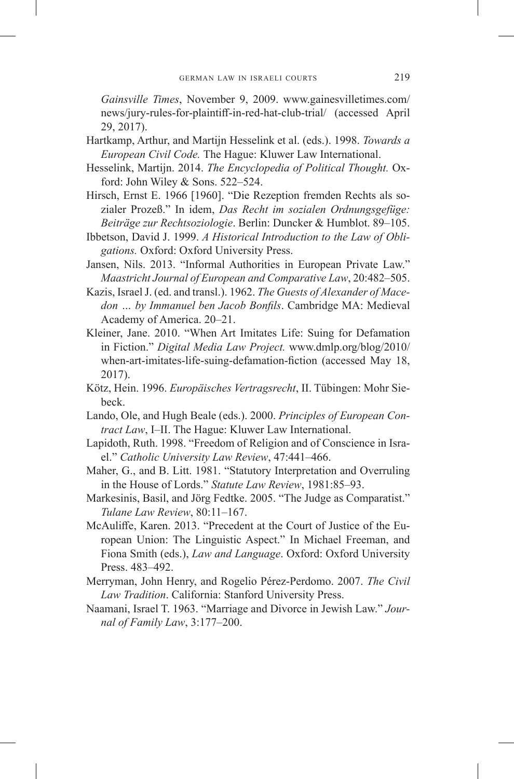*Gainsville Times*, November 9, 2009. www.gainesvilletimes.com/ news/jury-rules-for-plaintiff-in-red-hat-club-trial/ (accessed April 29, 2017).

- Hartkamp, Arthur, and Martijn Hesselink et al. (eds.). 1998. *Towards a European Civil Code.* The Hague: Kluwer Law International.
- Hesselink, Martijn. 2014. *The Encyclopedia of Political Thought.* Oxford: John Wiley & Sons. 522–524.
- Hirsch, Ernst E. 1966 [1960]. "Die Rezeption fremden Rechts als sozialer Prozeß." In idem, *Das Recht im sozialen Ordnungsgefüge: Beiträge zur Rechtsoziologie*. Berlin: Duncker & Humblot. 89–105.
- Ibbetson, David J. 1999. *A Historical Introduction to the Law of Obligations.* Oxford: Oxford University Press.
- Jansen, Nils. 2013. "Informal Authorities in European Private Law." *Maastricht Journal of European and Comparative Law*, 20:482–505.
- Kazis, Israel J. (ed. and transl.). 1962. *The Guests of Alexander of Macedon … by Immanuel ben Jacob Bonfils*. Cambridge MA: Medieval Academy of America. 20–21.
- Kleiner, Jane. 2010. "When Art Imitates Life: Suing for Defamation in Fiction." *Digital Media Law Project.* www.dmlp.org/blog/2010/ when-art-imitates-life-suing-defamation-fiction (accessed May 18, 2017).
- Kötz, Hein. 1996. *Europäisches Vertragsrecht*, II. Tübingen: Mohr Siebeck.
- Lando, Ole, and Hugh Beale (eds.). 2000. *Principles of European Contract Law*, I–II. The Hague: Kluwer Law International.
- Lapidoth, Ruth. 1998. "Freedom of Religion and of Conscience in Israel." *Catholic University Law Review*, 47:441–466.
- Maher, G., and B. Litt. 1981. "Statutory Interpretation and Overruling in the House of Lords." *Statute Law Review*, 1981:85–93.
- Markesinis, Basil, and Jörg Fedtke. 2005. "The Judge as Comparatist." *Tulane Law Review*, 80:11–167.
- McAuliffe, Karen. 2013. "Precedent at the Court of Justice of the European Union: The Linguistic Aspect." In Michael Freeman, and Fiona Smith (eds.), *Law and Language*. Oxford: Oxford University Press. 483–492.
- Merryman, John Henry, and Rogelio Pérez-Perdomo. 2007. *The Civil Law Tradition*. California: Stanford University Press.
- Naamani, Israel T. 1963. "Marriage and Divorce in Jewish Law." *Journal of Family Law*, 3:177–200.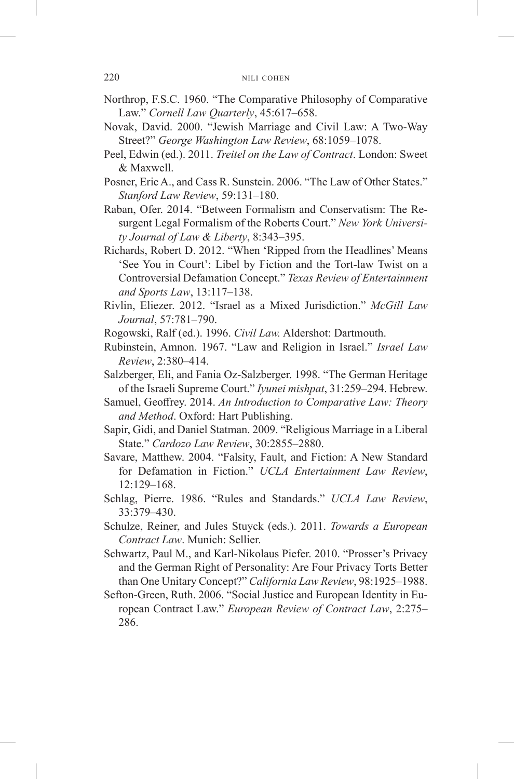- Northrop, F.S.C. 1960. "The Comparative Philosophy of Comparative Law." *Cornell Law Quarterly*, 45:617–658.
- Novak, David. 2000. "Jewish Marriage and Civil Law: A Two-Way Street?" *George Washington Law Review*, 68:1059–1078.
- Peel, Edwin (ed.). 2011. *Treitel on the Law of Contract*. London: Sweet & Maxwell.
- Posner, Eric A., and Cass R. Sunstein. 2006. "The Law of Other States." *Stanford Law Review*, 59:131–180.
- Raban, Ofer. 2014. "Between Formalism and Conservatism: The Resurgent Legal Formalism of the Roberts Court." *New York University Journal of Law & Liberty*, 8:343–395.
- Richards, Robert D. 2012. "When 'Ripped from the Headlines' Means 'See You in Court': Libel by Fiction and the Tort-law Twist on a Controversial Defamation Concept." *Texas Review of Entertainment and Sports Law*, 13:117–138.
- Rivlin, Eliezer. 2012. "Israel as a Mixed Jurisdiction." *McGill Law Journal*, 57:781–790.
- Rogowski, Ralf (ed.). 1996. *Civil Law.* Aldershot: Dartmouth.
- Rubinstein, Amnon. 1967. "Law and Religion in Israel." *Israel Law Review*, 2:380–414.
- Salzberger, Eli, and Fania Oz-Salzberger. 1998. "The German Heritage of the Israeli Supreme Court." *Iyunei mishpat*, 31:259–294. Hebrew.
- Samuel, Geoffrey. 2014. *An Introduction to Comparative Law: Theory and Method*. Oxford: Hart Publishing.
- Sapir, Gidi, and Daniel Statman. 2009. "Religious Marriage in a Liberal State." *Cardozo Law Review*, 30:2855–2880.
- Savare, Matthew. 2004. "Falsity, Fault, and Fiction: A New Standard for Defamation in Fiction." *UCLA Entertainment Law Review*, 12:129–168.
- Schlag, Pierre. 1986. "Rules and Standards." *UCLA Law Review*, 33:379–430.
- Schulze, Reiner, and Jules Stuyck (eds.). 2011. *Towards a European Contract Law*. Munich: Sellier.
- Schwartz, Paul M., and Karl-Nikolaus Piefer. 2010. "Prosser's Privacy and the German Right of Personality: Are Four Privacy Torts Better than One Unitary Concept?" *California Law Review*, 98:1925–1988.
- Sefton-Green, Ruth. 2006. "Social Justice and European Identity in European Contract Law." *European Review of Contract Law*, 2:275– 286.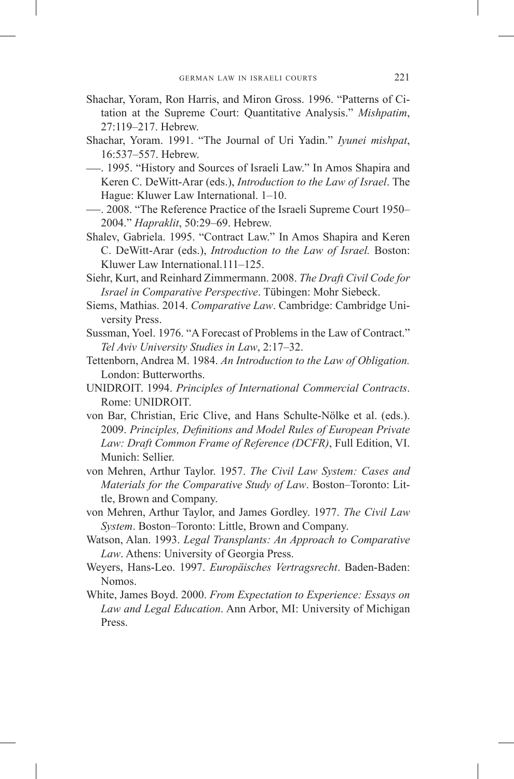- Shachar, Yoram, Ron Harris, and Miron Gross. 1996. "Patterns of Citation at the Supreme Court: Quantitative Analysis." *Mishpatim*, 27:119–217. Hebrew.
- Shachar, Yoram. 1991. "The Journal of Uri Yadin." *Iyunei mishpat*, 16:537–557. Hebrew.
- . 1995. "History and Sources of Israeli Law." In Amos Shapira and Keren C. DeWitt-Arar (eds.), *Introduction to the Law of Israel*. The Hague: Kluwer Law International. 1–10.
- . 2008. "The Reference Practice of the Israeli Supreme Court 1950– 2004." *Hapraklit*, 50:29–69. Hebrew.
- Shalev, Gabriela. 1995. "Contract Law." In Amos Shapira and Keren C. DeWitt-Arar (eds.), *Introduction to the Law of Israel.* Boston: Kluwer Law International.111–125.
- Siehr, Kurt, and Reinhard Zimmermann. 2008. *The Draft Civil Code for Israel in Comparative Perspective*. Tübingen: Mohr Siebeck.
- Siems, Mathias. 2014. *Comparative Law*. Cambridge: Cambridge University Press.
- Sussman, Yoel. 1976. "A Forecast of Problems in the Law of Contract." *Tel Aviv University Studies in Law*, 2:17–32.
- Tettenborn, Andrea M. 1984. *An Introduction to the Law of Obligation.*  London: Butterworths.
- UNIDROIT. 1994. *Principles of International Commercial Contracts*. Rome: UNIDROIT.
- von Bar, Christian, Eric Clive, and Hans Schulte-Nölke et al. (eds.). 2009. *Principles, Definitions and Model Rules of European Private Law: Draft Common Frame of Reference (DCFR)*, Full Edition, VI. Munich: Sellier.
- von Mehren, Arthur Taylor. 1957. *The Civil Law System: Cases and Materials for the Comparative Study of Law*. Boston–Toronto: Little, Brown and Company.
- von Mehren, Arthur Taylor, and James Gordley. 1977. *The Civil Law System*. Boston–Toronto: Little, Brown and Company.
- Watson, Alan. 1993. *Legal Transplants: An Approach to Comparative Law*. Athens: University of Georgia Press.
- Weyers, Hans-Leo. 1997. *Europäisches Vertragsrecht*. Baden-Baden: Nomos.
- White, James Boyd. 2000. *From Expectation to Experience: Essays on Law and Legal Education*. Ann Arbor, MI: University of Michigan Press.